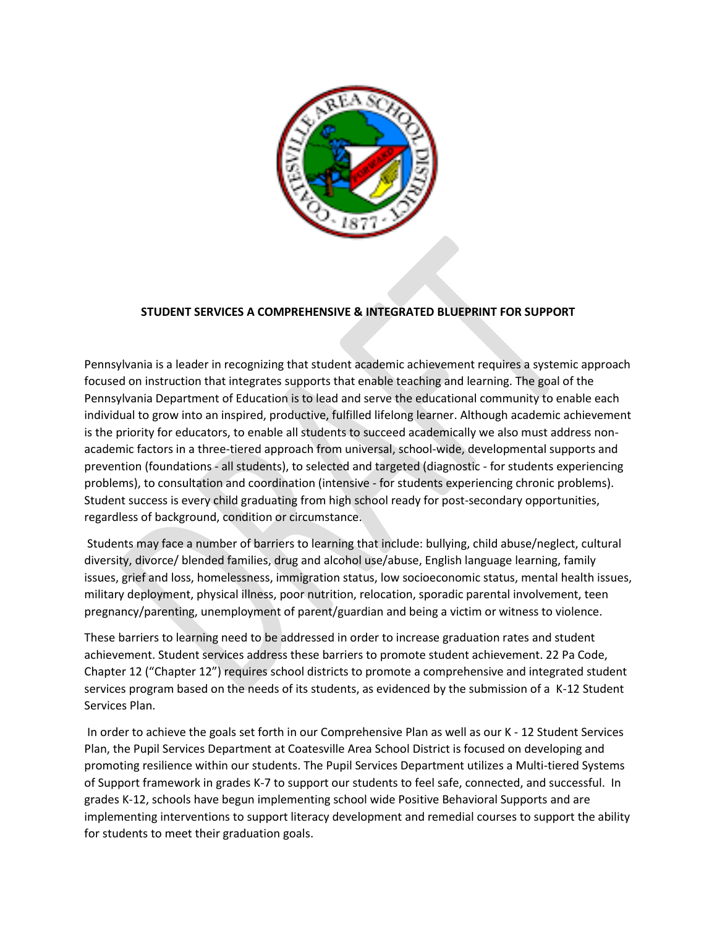

# **STUDENT SERVICES A COMPREHENSIVE & INTEGRATED BLUEPRINT FOR SUPPORT**

Pennsylvania is a leader in recognizing that student academic achievement requires a systemic approach focused on instruction that integrates supports that enable teaching and learning. The goal of the Pennsylvania Department of Education is to lead and serve the educational community to enable each individual to grow into an inspired, productive, fulfilled lifelong learner. Although academic achievement is the priority for educators, to enable all students to succeed academically we also must address nonacademic factors in a three-tiered approach from universal, school-wide, developmental supports and prevention (foundations - all students), to selected and targeted (diagnostic - for students experiencing problems), to consultation and coordination (intensive - for students experiencing chronic problems). Student success is every child graduating from high school ready for post-secondary opportunities, regardless of background, condition or circumstance.

Students may face a number of barriers to learning that include: bullying, child abuse/neglect, cultural diversity, divorce/ blended families, drug and alcohol use/abuse, English language learning, family issues, grief and loss, homelessness, immigration status, low socioeconomic status, mental health issues, military deployment, physical illness, poor nutrition, relocation, sporadic parental involvement, teen pregnancy/parenting, unemployment of parent/guardian and being a victim or witness to violence.

These barriers to learning need to be addressed in order to increase graduation rates and student achievement. Student services address these barriers to promote student achievement. 22 Pa Code, Chapter 12 ("Chapter 12") requires school districts to promote a comprehensive and integrated student services program based on the needs of its students, as evidenced by the submission of a K-12 Student Services Plan.

In order to achieve the goals set forth in our Comprehensive Plan as well as our K - 12 Student Services Plan, the Pupil Services Department at Coatesville Area School District is focused on developing and promoting resilience within our students. The Pupil Services Department utilizes a Multi-tiered Systems of Support framework in grades K-7 to support our students to feel safe, connected, and successful. In grades K-12, schools have begun implementing school wide Positive Behavioral Supports and are implementing interventions to support literacy development and remedial courses to support the ability for students to meet their graduation goals.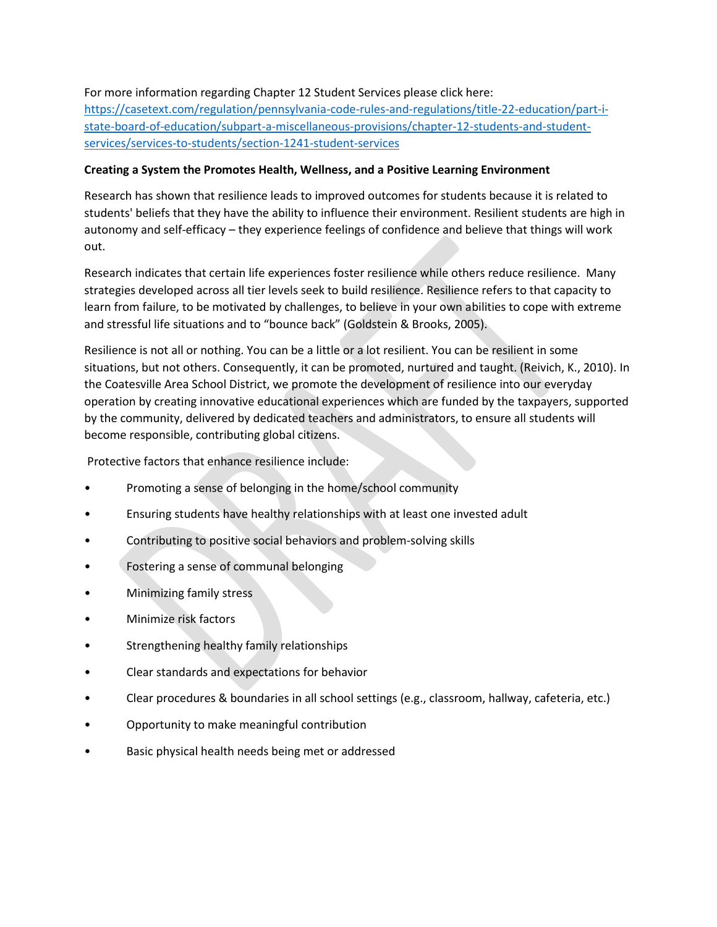## For more information regarding Chapter 12 Student Services please click here:

[https://casetext.com/regulation/pennsylvania-code-rules-and-regulations/title-22-education/part-i](https://casetext.com/regulation/pennsylvania-code-rules-and-regulations/title-22-education/part-i-state-board-of-education/subpart-a-miscellaneous-provisions/chapter-12-students-and-student-services/services-to-students/section-1241-student-services)[state-board-of-education/subpart-a-miscellaneous-provisions/chapter-12-students-and-student](https://casetext.com/regulation/pennsylvania-code-rules-and-regulations/title-22-education/part-i-state-board-of-education/subpart-a-miscellaneous-provisions/chapter-12-students-and-student-services/services-to-students/section-1241-student-services)[services/services-to-students/section-1241-student-services](https://casetext.com/regulation/pennsylvania-code-rules-and-regulations/title-22-education/part-i-state-board-of-education/subpart-a-miscellaneous-provisions/chapter-12-students-and-student-services/services-to-students/section-1241-student-services)

## **Creating a System the Promotes Health, Wellness, and a Positive Learning Environment**

Research has shown that resilience leads to improved outcomes for students because it is related to students' beliefs that they have the ability to influence their environment. Resilient students are high in autonomy and self-efficacy – they experience feelings of confidence and believe that things will work out.

Research indicates that certain life experiences foster resilience while others reduce resilience. Many strategies developed across all tier levels seek to build resilience. Resilience refers to that capacity to learn from failure, to be motivated by challenges, to believe in your own abilities to cope with extreme and stressful life situations and to "bounce back" (Goldstein & Brooks, 2005).

Resilience is not all or nothing. You can be a little or a lot resilient. You can be resilient in some situations, but not others. Consequently, it can be promoted, nurtured and taught. (Reivich, K., 2010). In the Coatesville Area School District, we promote the development of resilience into our everyday operation by creating innovative educational experiences which are funded by the taxpayers, supported by the community, delivered by dedicated teachers and administrators, to ensure all students will become responsible, contributing global citizens.

Protective factors that enhance resilience include:

- Promoting a sense of belonging in the home/school community
- Ensuring students have healthy relationships with at least one invested adult
- Contributing to positive social behaviors and problem-solving skills
- Fostering a sense of communal belonging
- Minimizing family stress
- Minimize risk factors
- Strengthening healthy family relationships
- Clear standards and expectations for behavior
- Clear procedures & boundaries in all school settings (e.g., classroom, hallway, cafeteria, etc.)
- Opportunity to make meaningful contribution
- Basic physical health needs being met or addressed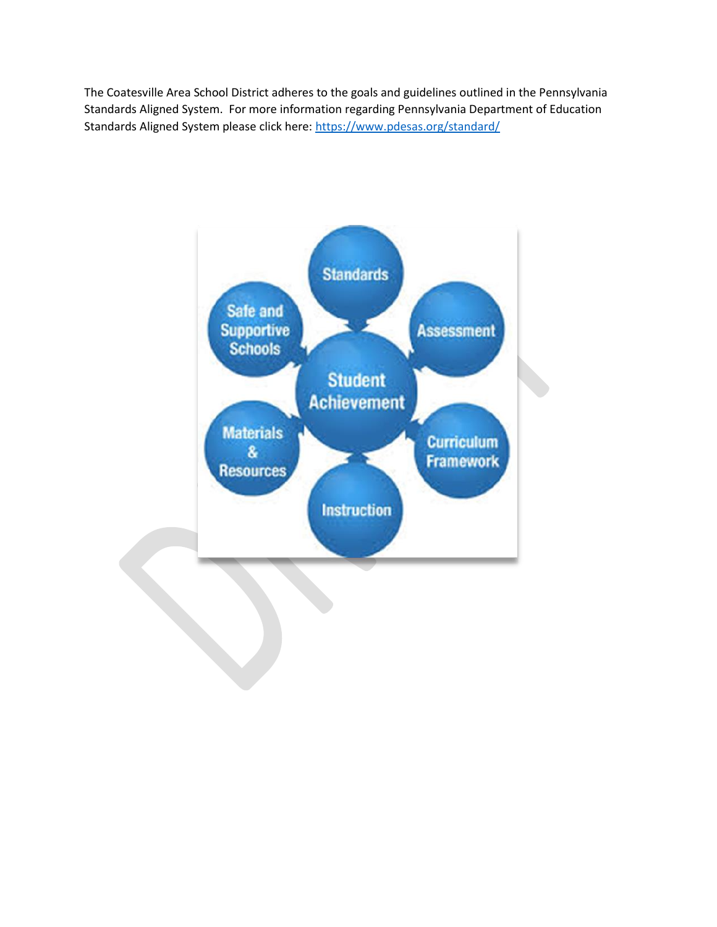The Coatesville Area School District adheres to the goals and guidelines outlined in the Pennsylvania Standards Aligned System. For more information regarding Pennsylvania Department of Education Standards Aligned System please click here:<https://www.pdesas.org/standard/>

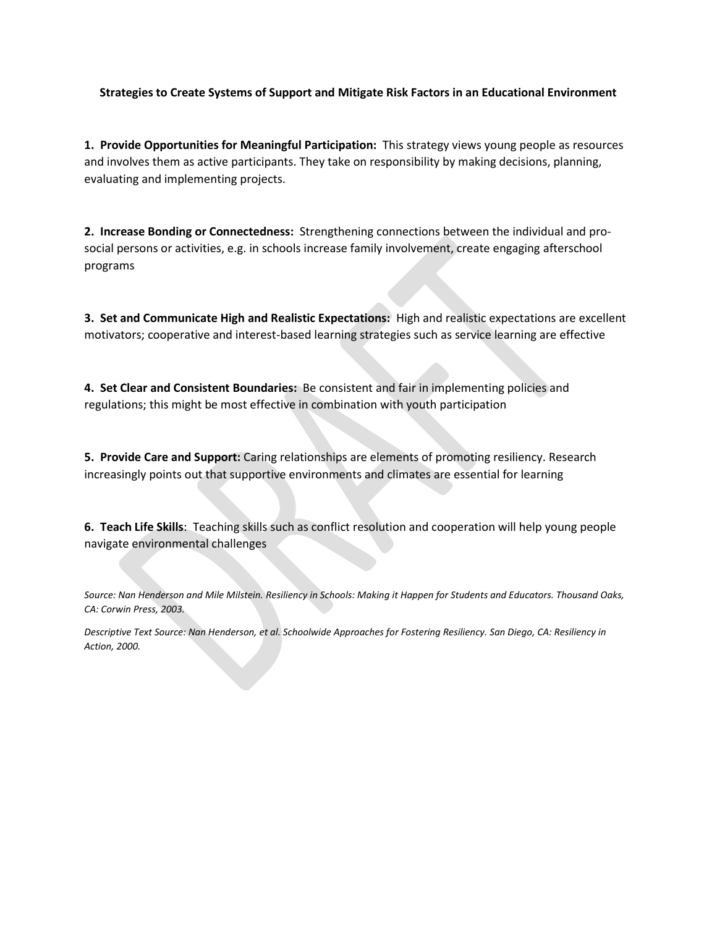### **Strategies to Create Systems of Support and Mitigate Risk Factors in an Educational Environment**

**1. Provide Opportunities for Meaningful Participation:** This strategy views young people as resources and involves them as active participants. They take on responsibility by making decisions, planning, evaluating and implementing projects.

**2. Increase Bonding or Connectedness:** Strengthening connections between the individual and prosocial persons or activities, e.g. in schools increase family involvement, create engaging afterschool programs

**3. Set and Communicate High and Realistic Expectations:** High and realistic expectations are excellent motivators; cooperative and interest-based learning strategies such as service learning are effective

**4. Set Clear and Consistent Boundaries:** Be consistent and fair in implementing policies and regulations; this might be most effective in combination with youth participation

**5. Provide Care and Support:** Caring relationships are elements of promoting resiliency. Research increasingly points out that supportive environments and climates are essential for learning

**6. Teach Life Skills**: Teaching skills such as conflict resolution and cooperation will help young people navigate environmental challenges

*Source: Nan Henderson and Mile Milstein. Resiliency in Schools: Making it Happen for Students and Educators. Thousand Oaks, CA: Corwin Press, 2003.*

*Descriptive Text Source: Nan Henderson, et al. Schoolwide Approaches for Fostering Resiliency. San Diego, CA: Resiliency in Action, 2000.*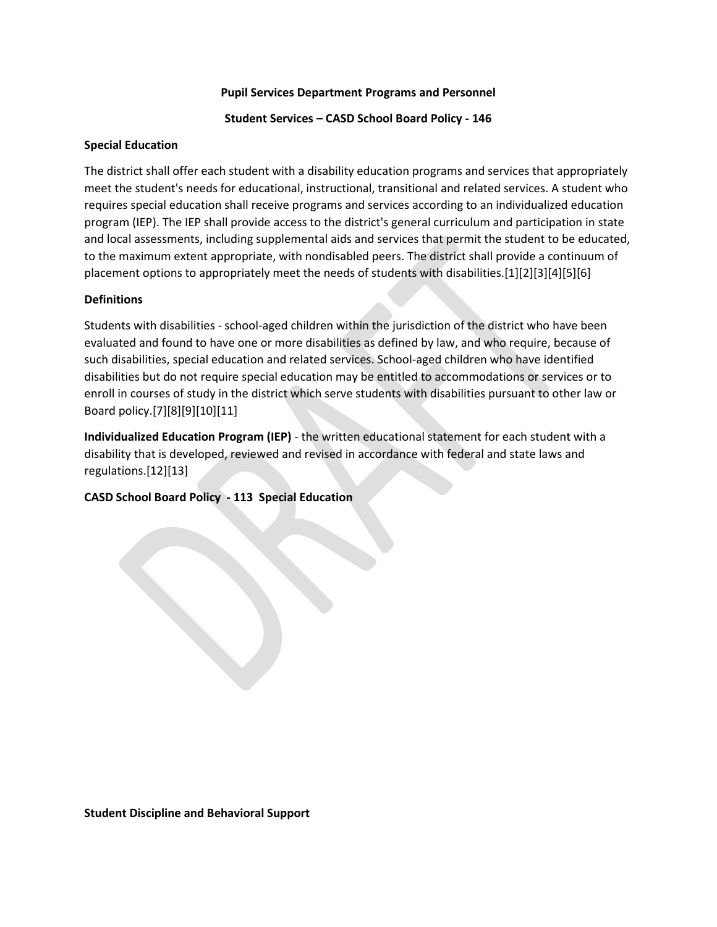### **Pupil Services Department Programs and Personnel**

### **Student Services – CASD School Board Policy - 146**

### **Special Education**

The district shall offer each student with a disability education programs and services that appropriately meet the student's needs for educational, instructional, transitional and related services. A student who requires special education shall receive programs and services according to an individualized education program (IEP). The IEP shall provide access to the district's general curriculum and participation in state and local assessments, including supplemental aids and services that permit the student to be educated, to the maximum extent appropriate, with nondisabled peers. The district shall provide a continuum of placement options to appropriately meet the needs of students with disabilities.[1][2][3][4][5][6]

#### **Definitions**

Students with disabilities - school-aged children within the jurisdiction of the district who have been evaluated and found to have one or more disabilities as defined by law, and who require, because of such disabilities, special education and related services. School-aged children who have identified disabilities but do not require special education may be entitled to accommodations or services or to enroll in courses of study in the district which serve students with disabilities pursuant to other law or Board policy.[7][8][9][10][11]

**Individualized Education Program (IEP)** - the written educational statement for each student with a disability that is developed, reviewed and revised in accordance with federal and state laws and regulations.[12][13]

### **CASD School Board Policy - 113 Special Education**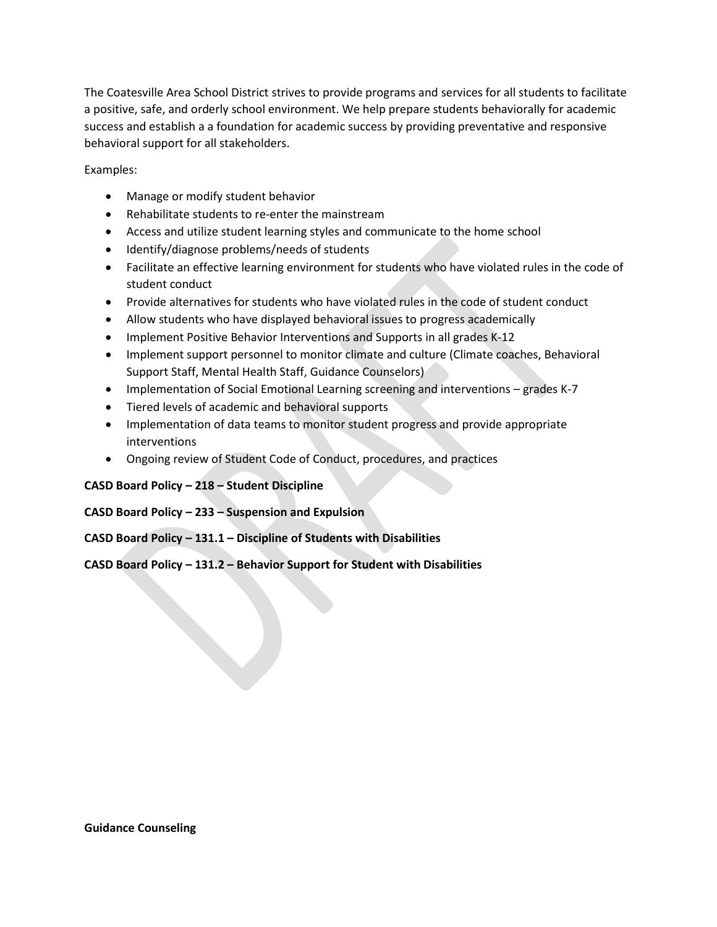The Coatesville Area School District strives to provide programs and services for all students to facilitate a positive, safe, and orderly school environment. We help prepare students behaviorally for academic success and establish a a foundation for academic success by providing preventative and responsive behavioral support for all stakeholders.

Examples:

- Manage or modify student behavior
- Rehabilitate students to re-enter the mainstream
- Access and utilize student learning styles and communicate to the home school
- Identify/diagnose problems/needs of students
- Facilitate an effective learning environment for students who have violated rules in the code of student conduct
- Provide alternatives for students who have violated rules in the code of student conduct
- Allow students who have displayed behavioral issues to progress academically
- Implement Positive Behavior Interventions and Supports in all grades K-12
- Implement support personnel to monitor climate and culture (Climate coaches, Behavioral Support Staff, Mental Health Staff, Guidance Counselors)
- Implementation of Social Emotional Learning screening and interventions grades K-7
- Tiered levels of academic and behavioral supports
- Implementation of data teams to monitor student progress and provide appropriate interventions
- Ongoing review of Student Code of Conduct, procedures, and practices

# **CASD Board Policy – 218 – Student Discipline**

# **CASD Board Policy – 233 – Suspension and Expulsion**

**CASD Board Policy – 131.1 – Discipline of Students with Disabilities**

# **CASD Board Policy – 131.2 – Behavior Support for Student with Disabilities**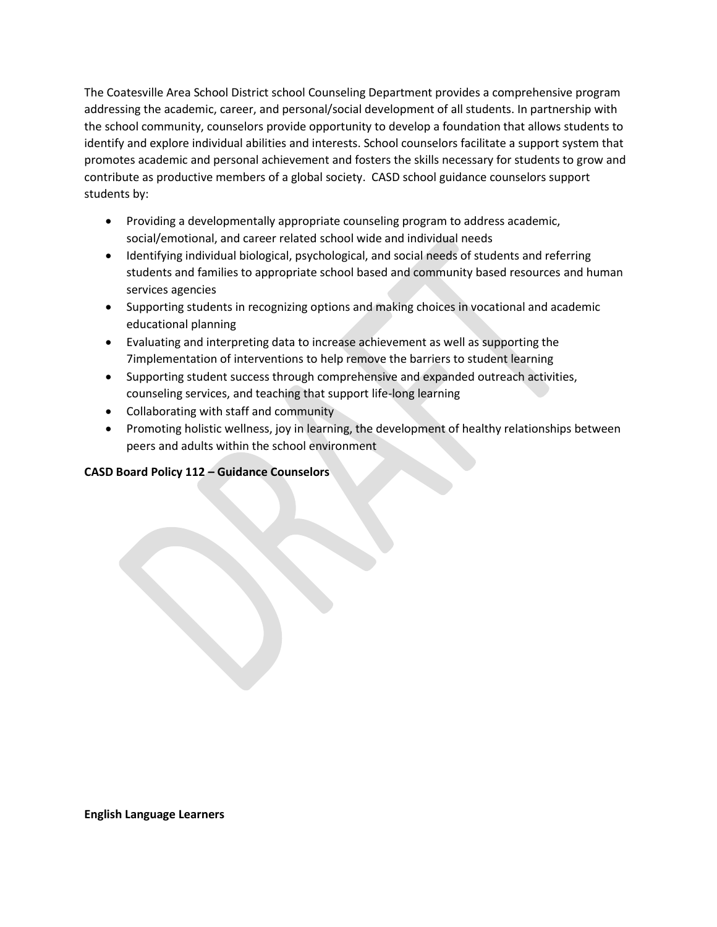The Coatesville Area School District school Counseling Department provides a comprehensive program addressing the academic, career, and personal/social development of all students. In partnership with the school community, counselors provide opportunity to develop a foundation that allows students to identify and explore individual abilities and interests. School counselors facilitate a support system that promotes academic and personal achievement and fosters the skills necessary for students to grow and contribute as productive members of a global society. CASD school guidance counselors support students by:

- Providing a developmentally appropriate counseling program to address academic, social/emotional, and career related school wide and individual needs
- Identifying individual biological, psychological, and social needs of students and referring students and families to appropriate school based and community based resources and human services agencies
- Supporting students in recognizing options and making choices in vocational and academic educational planning
- Evaluating and interpreting data to increase achievement as well as supporting the 7implementation of interventions to help remove the barriers to student learning
- Supporting student success through comprehensive and expanded outreach activities, counseling services, and teaching that support life-long learning
- Collaborating with staff and community
- Promoting holistic wellness, joy in learning, the development of healthy relationships between peers and adults within the school environment

# **CASD Board Policy 112 – Guidance Counselors**

**English Language Learners**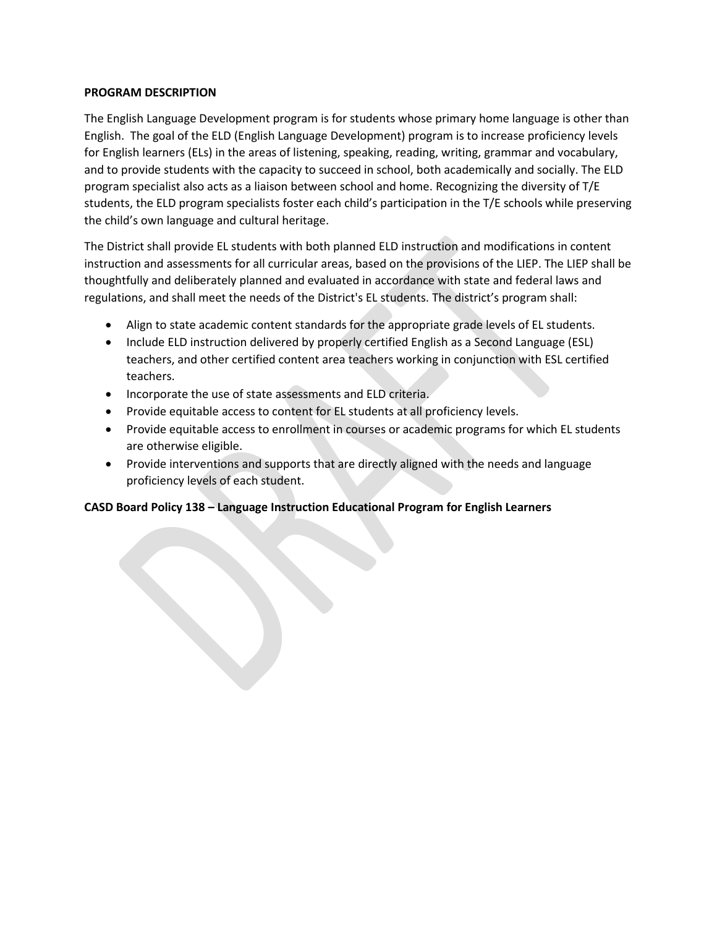### **PROGRAM DESCRIPTION**

The English Language Development program is for students whose primary home language is other than English. The goal of the ELD (English Language Development) program is to increase proficiency levels for English learners (ELs) in the areas of listening, speaking, reading, writing, grammar and vocabulary, and to provide students with the capacity to succeed in school, both academically and socially. The ELD program specialist also acts as a liaison between school and home. Recognizing the diversity of T/E students, the ELD program specialists foster each child's participation in the T/E schools while preserving the child's own language and cultural heritage.

The District shall provide EL students with both planned ELD instruction and modifications in content instruction and assessments for all curricular areas, based on the provisions of the LIEP. The LIEP shall be thoughtfully and deliberately planned and evaluated in accordance with state and federal laws and regulations, and shall meet the needs of the District's EL students. The district's program shall:

- Align to state academic content standards for the appropriate grade levels of EL students.
- Include ELD instruction delivered by properly certified English as a Second Language (ESL) teachers, and other certified content area teachers working in conjunction with ESL certified teachers.
- Incorporate the use of state assessments and ELD criteria.
- Provide equitable access to content for EL students at all proficiency levels.
- Provide equitable access to enrollment in courses or academic programs for which EL students are otherwise eligible.
- Provide interventions and supports that are directly aligned with the needs and language proficiency levels of each student.

# **CASD Board Policy 138 – Language Instruction Educational Program for English Learners**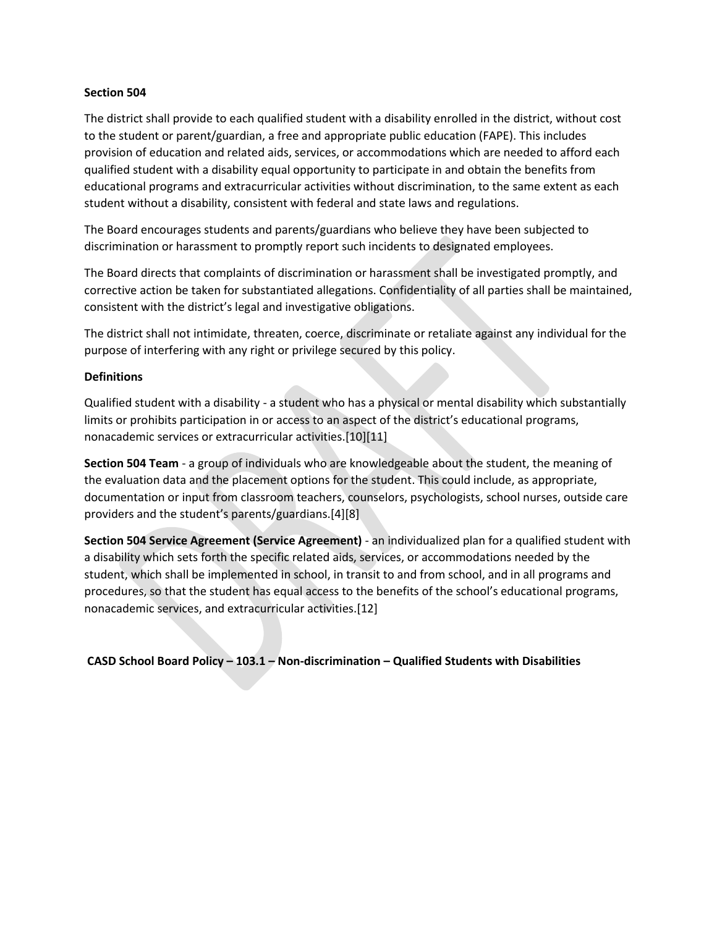#### **Section 504**

The district shall provide to each qualified student with a disability enrolled in the district, without cost to the student or parent/guardian, a free and appropriate public education (FAPE). This includes provision of education and related aids, services, or accommodations which are needed to afford each qualified student with a disability equal opportunity to participate in and obtain the benefits from educational programs and extracurricular activities without discrimination, to the same extent as each student without a disability, consistent with federal and state laws and regulations.

The Board encourages students and parents/guardians who believe they have been subjected to discrimination or harassment to promptly report such incidents to designated employees.

The Board directs that complaints of discrimination or harassment shall be investigated promptly, and corrective action be taken for substantiated allegations. Confidentiality of all parties shall be maintained, consistent with the district's legal and investigative obligations.

The district shall not intimidate, threaten, coerce, discriminate or retaliate against any individual for the purpose of interfering with any right or privilege secured by this policy.

### **Definitions**

Qualified student with a disability - a student who has a physical or mental disability which substantially limits or prohibits participation in or access to an aspect of the district's educational programs, nonacademic services or extracurricular activities.[10][11]

**Section 504 Team** - a group of individuals who are knowledgeable about the student, the meaning of the evaluation data and the placement options for the student. This could include, as appropriate, documentation or input from classroom teachers, counselors, psychologists, school nurses, outside care providers and the student's parents/guardians.[4][8]

**Section 504 Service Agreement (Service Agreement)** - an individualized plan for a qualified student with a disability which sets forth the specific related aids, services, or accommodations needed by the student, which shall be implemented in school, in transit to and from school, and in all programs and procedures, so that the student has equal access to the benefits of the school's educational programs, nonacademic services, and extracurricular activities.[12]

**CASD School Board Policy – 103.1 – Non-discrimination – Qualified Students with Disabilities**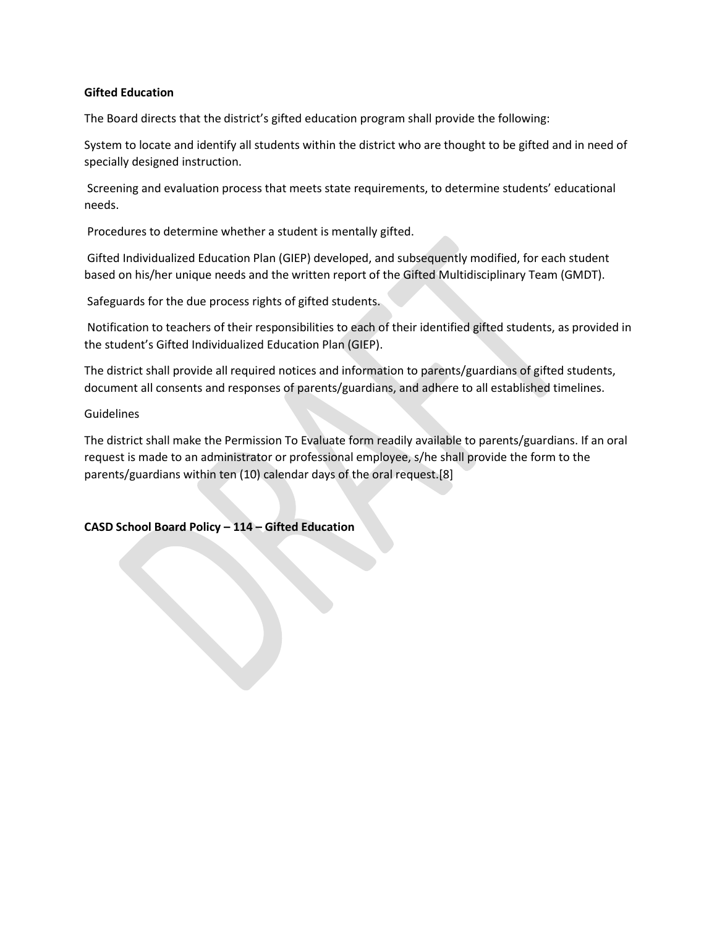### **Gifted Education**

The Board directs that the district's gifted education program shall provide the following:

System to locate and identify all students within the district who are thought to be gifted and in need of specially designed instruction.

Screening and evaluation process that meets state requirements, to determine students' educational needs.

Procedures to determine whether a student is mentally gifted.

Gifted Individualized Education Plan (GIEP) developed, and subsequently modified, for each student based on his/her unique needs and the written report of the Gifted Multidisciplinary Team (GMDT).

Safeguards for the due process rights of gifted students.

Notification to teachers of their responsibilities to each of their identified gifted students, as provided in the student's Gifted Individualized Education Plan (GIEP).

The district shall provide all required notices and information to parents/guardians of gifted students, document all consents and responses of parents/guardians, and adhere to all established timelines.

#### Guidelines

The district shall make the Permission To Evaluate form readily available to parents/guardians. If an oral request is made to an administrator or professional employee, s/he shall provide the form to the parents/guardians within ten (10) calendar days of the oral request.[8]

### **CASD School Board Policy – 114 – Gifted Education**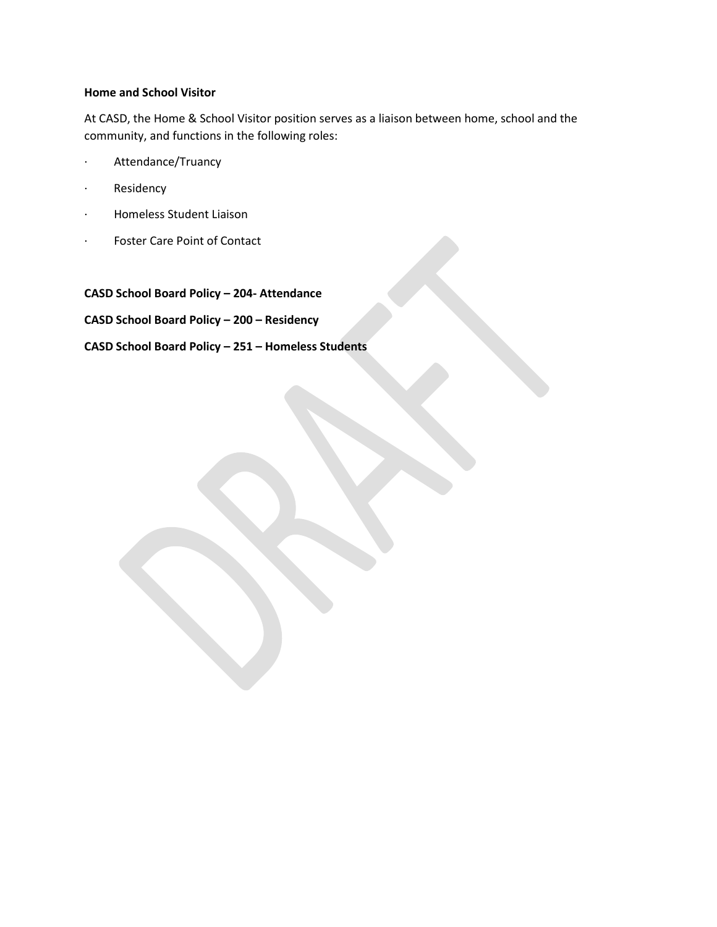## **Home and School Visitor**

At CASD, the Home & School Visitor position serves as a liaison between home, school and the community, and functions in the following roles:

- · Attendance/Truancy
- · Residency
- · Homeless Student Liaison
- · Foster Care Point of Contact

**CASD School Board Policy – 204- Attendance CASD School Board Policy – 200 – Residency**

**CASD School Board Policy – 251 – Homeless Students**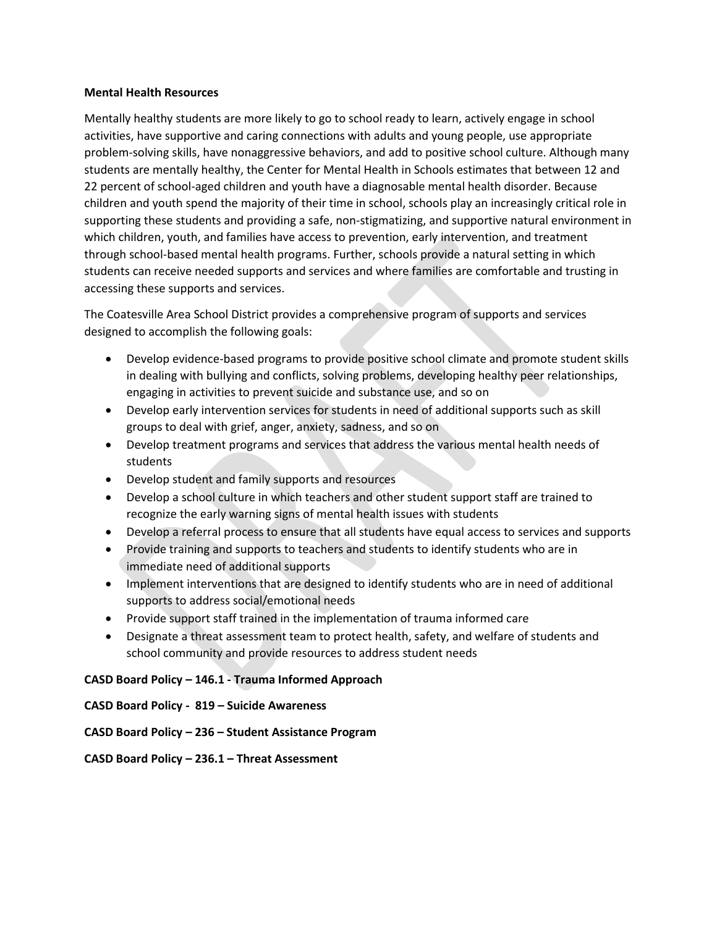#### **Mental Health Resources**

Mentally healthy students are more likely to go to school ready to learn, actively engage in school activities, have supportive and caring connections with adults and young people, use appropriate problem-solving skills, have nonaggressive behaviors, and add to positive school culture. Although many students are mentally healthy, the Center for Mental Health in Schools estimates that between 12 and 22 percent of school-aged children and youth have a diagnosable mental health disorder. Because children and youth spend the majority of their time in school, schools play an increasingly critical role in supporting these students and providing a safe, non-stigmatizing, and supportive natural environment in which children, youth, and families have access to prevention, early intervention, and treatment through school-based mental health programs. Further, schools provide a natural setting in which students can receive needed supports and services and where families are comfortable and trusting in accessing these supports and services.

The Coatesville Area School District provides a comprehensive program of supports and services designed to accomplish the following goals:

- Develop evidence-based programs to provide positive school climate and promote student skills in dealing with bullying and conflicts, solving problems, developing healthy peer relationships, engaging in activities to prevent suicide and substance use, and so on
- Develop early intervention services for students in need of additional supports such as skill groups to deal with grief, anger, anxiety, sadness, and so on
- Develop treatment programs and services that address the various mental health needs of students
- Develop student and family supports and resources
- Develop a school culture in which teachers and other student support staff are trained to recognize the early warning signs of mental health issues with students
- Develop a referral process to ensure that all students have equal access to services and supports
- Provide training and supports to teachers and students to identify students who are in immediate need of additional supports
- Implement interventions that are designed to identify students who are in need of additional supports to address social/emotional needs
- Provide support staff trained in the implementation of trauma informed care
- Designate a threat assessment team to protect health, safety, and welfare of students and school community and provide resources to address student needs

# **CASD Board Policy – 146.1 - Trauma Informed Approach**

# **CASD Board Policy - 819 – Suicide Awareness**

# **CASD Board Policy – 236 – Student Assistance Program**

**CASD Board Policy – 236.1 – Threat Assessment**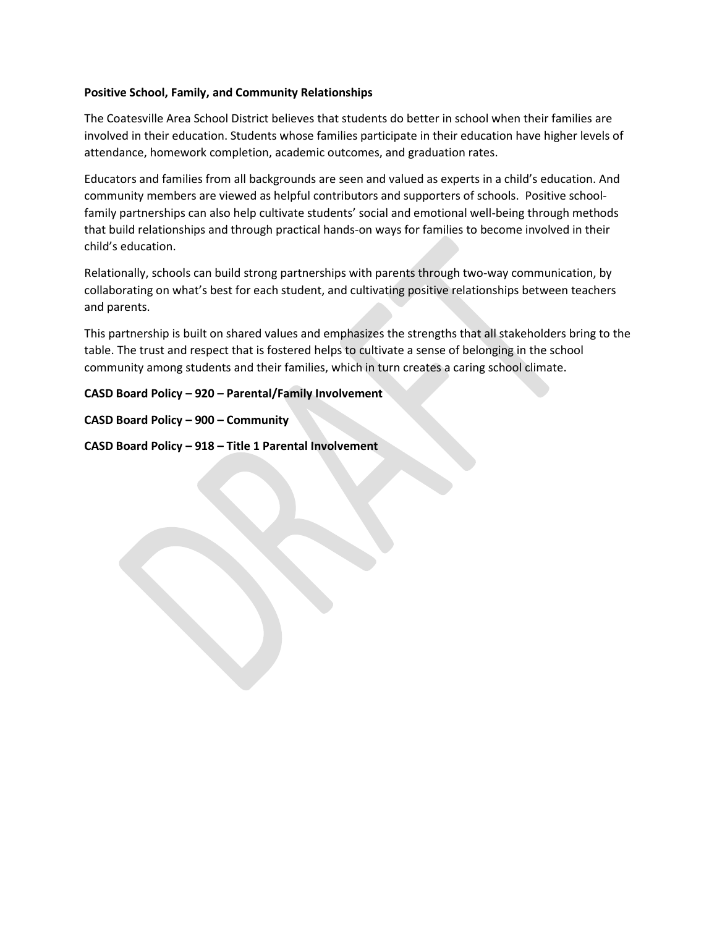### **Positive School, Family, and Community Relationships**

The Coatesville Area School District believes that students do better in school when their families are involved in their education. Students whose families participate in their education have higher levels of attendance, homework completion, academic outcomes, and graduation rates.

Educators and families from all backgrounds are seen and valued as experts in a child's education. And community members are viewed as helpful contributors and supporters of schools. Positive schoolfamily partnerships can also help cultivate students' social and emotional well-being through methods that build relationships and through practical hands-on ways for families to become involved in their child's education.

Relationally, schools can build strong partnerships with parents through two-way communication, by collaborating on what's best for each student, and cultivating positive relationships between teachers and parents.

This partnership is built on shared values and emphasizes the strengths that all stakeholders bring to the table. The trust and respect that is fostered helps to cultivate a sense of belonging in the school community among students and their families, which in turn creates a caring school climate.

**CASD Board Policy – 920 – Parental/Family Involvement**

**CASD Board Policy – 900 – Community**

**CASD Board Policy – 918 – Title 1 Parental Involvement**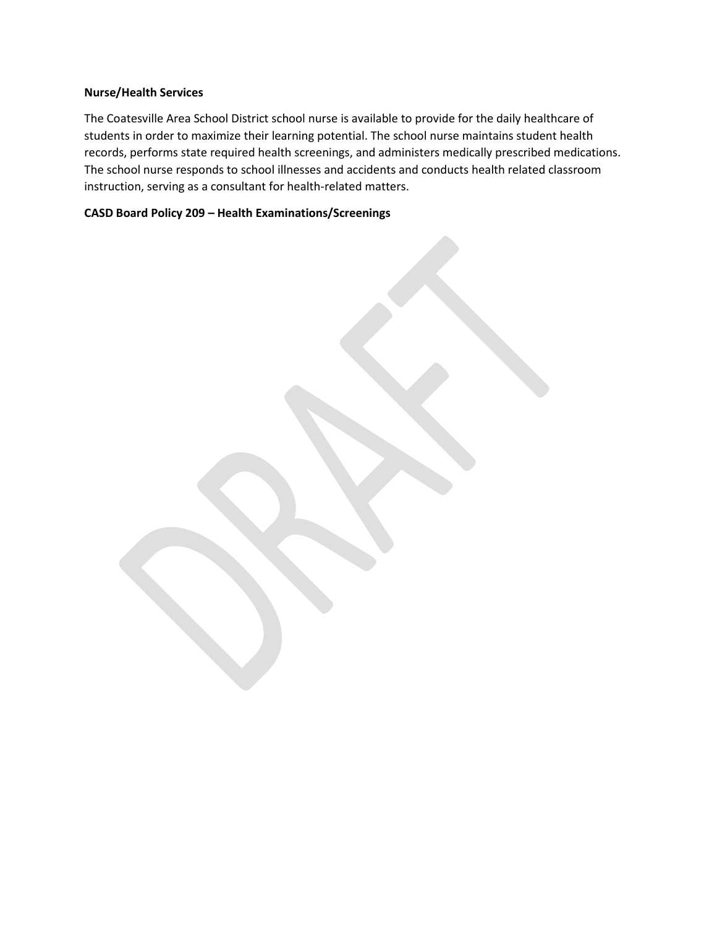### **Nurse/Health Services**

The Coatesville Area School District school nurse is available to provide for the daily healthcare of students in order to maximize their learning potential. The school nurse maintains student health records, performs state required health screenings, and administers medically prescribed medications. The school nurse responds to school illnesses and accidents and conducts health related classroom instruction, serving as a consultant for health-related matters.

# **CASD Board Policy 209 – Health Examinations/Screenings**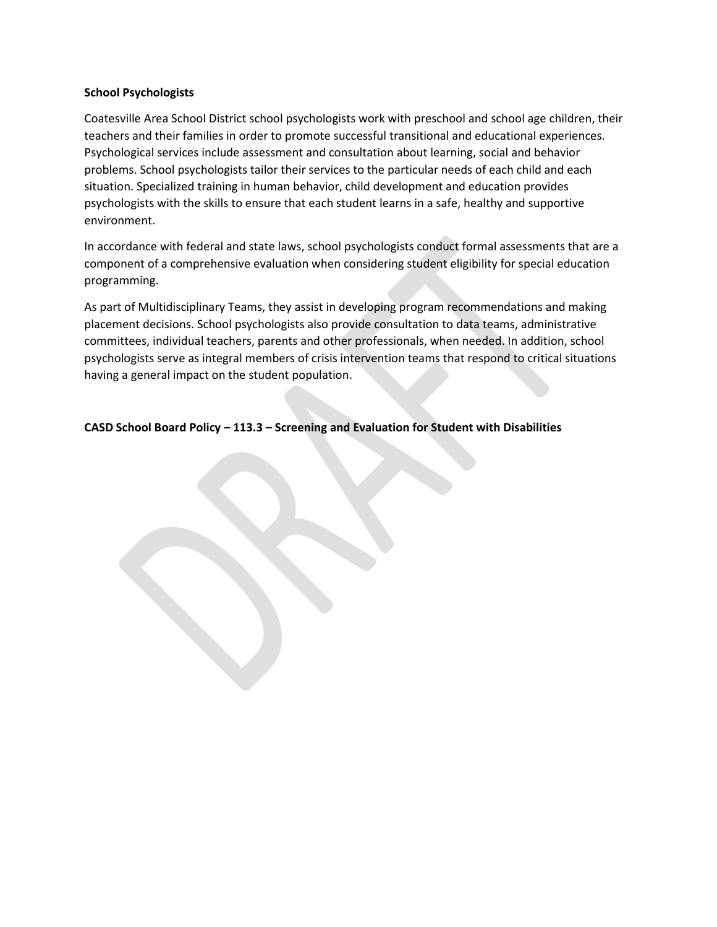#### **School Psychologists**

Coatesville Area School District school psychologists work with preschool and school age children, their teachers and their families in order to promote successful transitional and educational experiences. Psychological services include assessment and consultation about learning, social and behavior problems. School psychologists tailor their services to the particular needs of each child and each situation. Specialized training in human behavior, child development and education provides psychologists with the skills to ensure that each student learns in a safe, healthy and supportive environment.

In accordance with federal and state laws, school psychologists conduct formal assessments that are a component of a comprehensive evaluation when considering student eligibility for special education programming.

As part of Multidisciplinary Teams, they assist in developing program recommendations and making placement decisions. School psychologists also provide consultation to data teams, administrative committees, individual teachers, parents and other professionals, when needed. In addition, school psychologists serve as integral members of crisis intervention teams that respond to critical situations having a general impact on the student population.

**CASD School Board Policy – 113.3 – Screening and Evaluation for Student with Disabilities**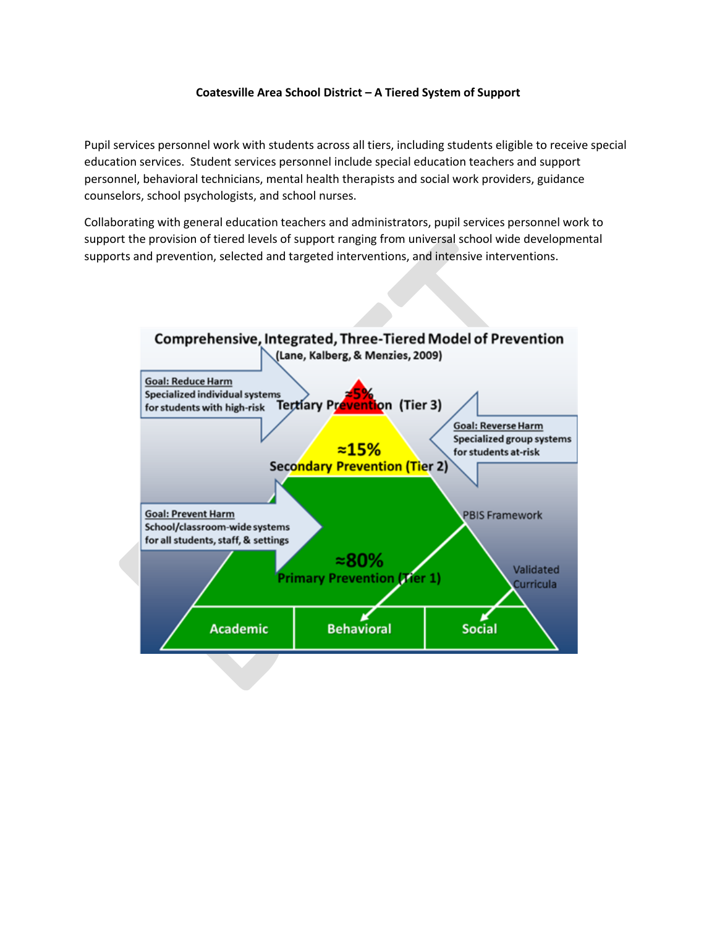### **Coatesville Area School District – A Tiered System of Support**

Pupil services personnel work with students across all tiers, including students eligible to receive special education services. Student services personnel include special education teachers and support personnel, behavioral technicians, mental health therapists and social work providers, guidance counselors, school psychologists, and school nurses.

Collaborating with general education teachers and administrators, pupil services personnel work to support the provision of tiered levels of support ranging from universal school wide developmental supports and prevention, selected and targeted interventions, and intensive interventions.

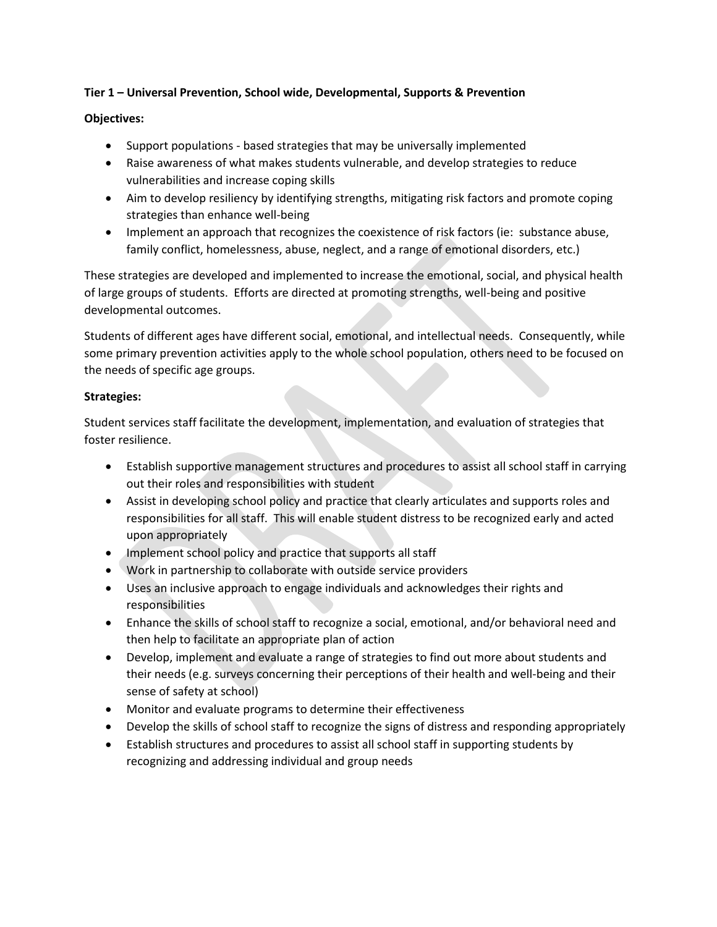## **Tier 1 – Universal Prevention, School wide, Developmental, Supports & Prevention**

## **Objectives:**

- Support populations based strategies that may be universally implemented
- Raise awareness of what makes students vulnerable, and develop strategies to reduce vulnerabilities and increase coping skills
- Aim to develop resiliency by identifying strengths, mitigating risk factors and promote coping strategies than enhance well-being
- Implement an approach that recognizes the coexistence of risk factors (ie: substance abuse, family conflict, homelessness, abuse, neglect, and a range of emotional disorders, etc.)

These strategies are developed and implemented to increase the emotional, social, and physical health of large groups of students. Efforts are directed at promoting strengths, well-being and positive developmental outcomes.

Students of different ages have different social, emotional, and intellectual needs. Consequently, while some primary prevention activities apply to the whole school population, others need to be focused on the needs of specific age groups.

## **Strategies:**

Student services staff facilitate the development, implementation, and evaluation of strategies that foster resilience.

- Establish supportive management structures and procedures to assist all school staff in carrying out their roles and responsibilities with student
- Assist in developing school policy and practice that clearly articulates and supports roles and responsibilities for all staff. This will enable student distress to be recognized early and acted upon appropriately
- Implement school policy and practice that supports all staff
- Work in partnership to collaborate with outside service providers
- Uses an inclusive approach to engage individuals and acknowledges their rights and responsibilities
- Enhance the skills of school staff to recognize a social, emotional, and/or behavioral need and then help to facilitate an appropriate plan of action
- Develop, implement and evaluate a range of strategies to find out more about students and their needs (e.g. surveys concerning their perceptions of their health and well-being and their sense of safety at school)
- Monitor and evaluate programs to determine their effectiveness
- Develop the skills of school staff to recognize the signs of distress and responding appropriately
- Establish structures and procedures to assist all school staff in supporting students by recognizing and addressing individual and group needs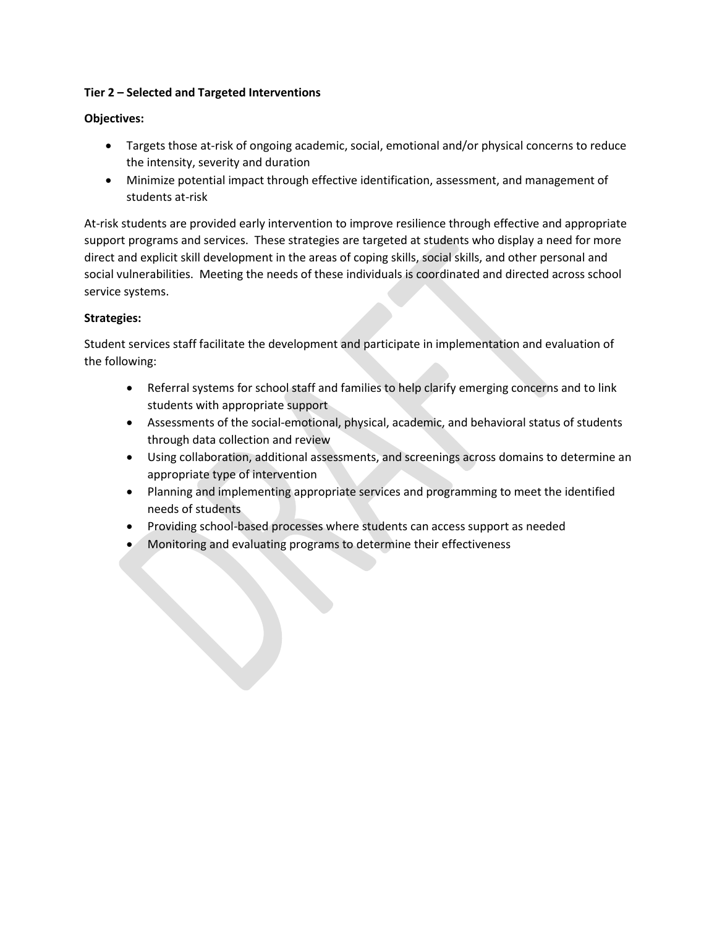## **Tier 2 – Selected and Targeted Interventions**

## **Objectives:**

- Targets those at-risk of ongoing academic, social, emotional and/or physical concerns to reduce the intensity, severity and duration
- Minimize potential impact through effective identification, assessment, and management of students at-risk

At-risk students are provided early intervention to improve resilience through effective and appropriate support programs and services. These strategies are targeted at students who display a need for more direct and explicit skill development in the areas of coping skills, social skills, and other personal and social vulnerabilities. Meeting the needs of these individuals is coordinated and directed across school service systems.

# **Strategies:**

Student services staff facilitate the development and participate in implementation and evaluation of the following:

- Referral systems for school staff and families to help clarify emerging concerns and to link students with appropriate support
- Assessments of the social-emotional, physical, academic, and behavioral status of students through data collection and review
- Using collaboration, additional assessments, and screenings across domains to determine an appropriate type of intervention
- Planning and implementing appropriate services and programming to meet the identified needs of students
- Providing school-based processes where students can access support as needed
- Monitoring and evaluating programs to determine their effectiveness